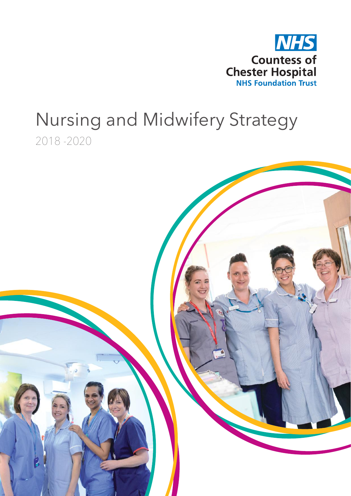

# Nursing and Midwifery Strategy 2018 -2020

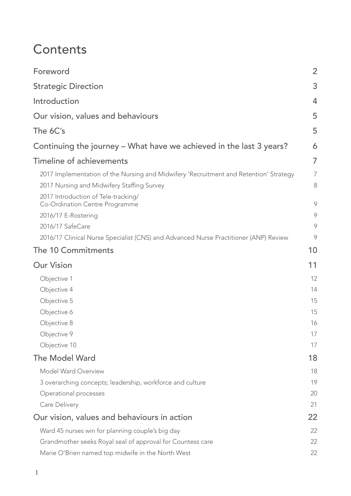## **Contents**

| Foreword                                                                                                                                                                   | $\overline{2}$ |
|----------------------------------------------------------------------------------------------------------------------------------------------------------------------------|----------------|
| <b>Strategic Direction</b>                                                                                                                                                 | 3              |
| Introduction                                                                                                                                                               | $\overline{4}$ |
| Our vision, values and behaviours                                                                                                                                          | 5              |
| The 6C's                                                                                                                                                                   | 5              |
| Continuing the journey – What have we achieved in the last 3 years?                                                                                                        | 6              |
| Timeline of achievements                                                                                                                                                   | 7              |
| 2017 Implementation of the Nursing and Midwifery 'Recruitment and Retention' Strategy<br>2017 Nursing and Midwifery Staffing Survey<br>2017 Introduction of Tele-tracking/ | 7<br>8         |
| Co-Ordination Centre Programme<br>2016/17 E-Rostering                                                                                                                      | 9<br>9         |
| 2016/17 SafeCare<br>2016/17 Clinical Nurse Specialist (CNS) and Advanced Nurse Practitioner (ANP) Review                                                                   | 9<br>9         |
| The 10 Commitments                                                                                                                                                         | 10             |
| <b>Our Vision</b>                                                                                                                                                          | 11             |
| Objective 1                                                                                                                                                                | 12             |
| Objective 4                                                                                                                                                                | 14             |
| Objective 5                                                                                                                                                                | 15             |
| Objective 6                                                                                                                                                                | 15             |
| Objective 8                                                                                                                                                                | 16             |
| Objective 9                                                                                                                                                                | 17             |
| Objective 10                                                                                                                                                               | 17             |
| <b>The Model Ward</b>                                                                                                                                                      | 18             |
| Model Ward Overview                                                                                                                                                        | 18             |
| 3 overarching concepts; leadership, workforce and culture                                                                                                                  | 19             |
| Operational processes                                                                                                                                                      | 20             |
| Care Delivery                                                                                                                                                              | 21             |
| Our vision, values and behaviours in action                                                                                                                                | 22             |
| Ward 45 nurses win for planning couple's big day                                                                                                                           | 22             |
| Grandmother seeks Royal seal of approval for Countess care                                                                                                                 | 22             |
| Marie O'Brien named top midwife in the North West                                                                                                                          | 22             |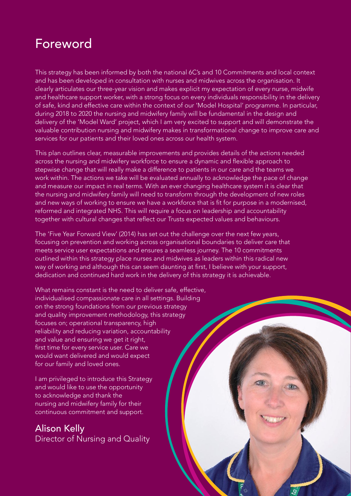## Foreword

This strategy has been informed by both the national 6C's and 10 Commitments and local context and has been developed in consultation with nurses and midwives across the organisation. It clearly articulates our three-year vision and makes explicit my expectation of every nurse, midwife and healthcare support worker, with a strong focus on every individuals responsibility in the delivery of safe, kind and effective care within the context of our 'Model Hospital' programme. In particular, during 2018 to 2020 the nursing and midwifery family will be fundamental in the design and delivery of the 'Model Ward' project, which I am very excited to support and will demonstrate the valuable contribution nursing and midwifery makes in transformational change to improve care and services for our patients and their loved ones across our health system.

This plan outlines clear, measurable improvements and provides details of the actions needed across the nursing and midwifery workforce to ensure a dynamic and flexible approach to stepwise change that will really make a difference to patients in our care and the teams we work within. The actions we take will be evaluated annually to acknowledge the pace of change and measure our impact in real terms. With an ever changing healthcare system it is clear that the nursing and midwifery family will need to transform through the development of new roles and new ways of working to ensure we have a workforce that is fit for purpose in a modernised, reformed and integrated NHS. This will require a focus on leadership and accountability together with cultural changes that reflect our Trusts expected values and behaviours.

The 'Five Year Forward View' (2014) has set out the challenge over the next few years, focusing on prevention and working across organisational boundaries to deliver care that meets service user expectations and ensures a seamless journey. The 10 commitments outlined within this strategy place nurses and midwives as leaders within this radical new way of working and although this can seem daunting at first, I believe with your support, dedication and continued hard work in the delivery of this strategy it is achievable.

What remains constant is the need to deliver safe, effective, individualised compassionate care in all settings. Building on the strong foundations from our previous strategy and quality improvement methodology, this strategy focuses on; operational transparency, high reliability and reducing variation, accountability and value and ensuring we get it right, first time for every service user. Care we would want delivered and would expect for our family and loved ones.

I am privileged to introduce this Strategy and would like to use the opportunity to acknowledge and thank the nursing and midwifery family for their continuous commitment and support.

Alison Kelly Director of Nursing and Quality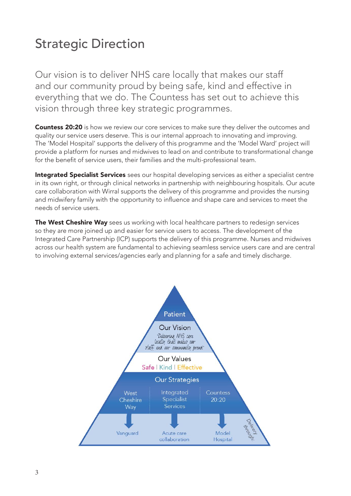# Strategic Direction

Our vision is to deliver NHS care locally that makes our staff and our community proud by being safe, kind and effective in everything that we do. The Countess has set out to achieve this vision through three key strategic programmes.

**Countess 20:20** is how we review our core services to make sure they deliver the outcomes and quality our service users deserve. This is our internal approach to innovating and improving. The 'Model Hospital' supports the delivery of this programme and the 'Model Ward' project will provide a platform for nurses and midwives to lead on and contribute to transformational change for the benefit of service users, their families and the multi-professional team.

Integrated Specialist Services sees our hospital developing services as either a specialist centre in its own right, or through clinical networks in partnership with neighbouring hospitals. Our acute care collaboration with Wirral supports the delivery of this programme and provides the nursing and midwifery family with the opportunity to influence and shape care and services to meet the needs of service users.

The West Cheshire Way sees us working with local healthcare partners to redesign services so they are more joined up and easier for service users to access. The development of the Integrated Care Partnership (ICP) supports the delivery of this programme. Nurses and midwives across our health system are fundamental to achieving seamless service users care and are central to involving external services/agencies early and planning for a safe and timely discharge.

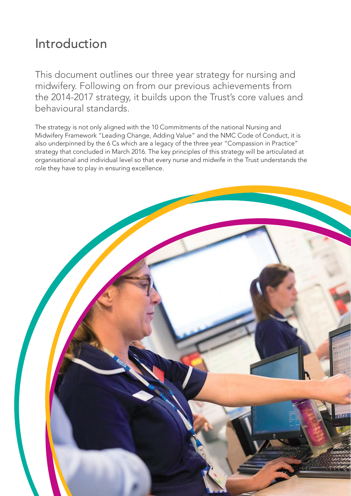# Introduction

This document outlines our three year strategy for nursing and midwifery. Following on from our previous achievements from the 2014-2017 strategy, it builds upon the Trust's core values and behavioural standards.

The strategy is not only aligned with the 10 Commitments of the national Nursing and Midwifery Framework "Leading Change, Adding Value" and the NMC Code of Conduct, it is also underpinned by the 6 Cs which are a legacy of the three year "Compassion in Practice" strategy that concluded in March 2016. The key principles of this strategy will be articulated at organisational and individual level so that every nurse and midwife in the Trust understands the role they have to play in ensuring excellence.

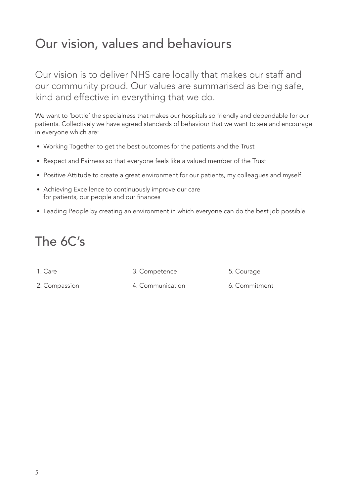# Our vision, values and behaviours

Our vision is to deliver NHS care locally that makes our staff and our community proud. Our values are summarised as being safe, kind and effective in everything that we do.

We want to 'bottle' the specialness that makes our hospitals so friendly and dependable for our patients. Collectively we have agreed standards of behaviour that we want to see and encourage in everyone which are:

- Working Together to get the best outcomes for the patients and the Trust
- Respect and Fairness so that everyone feels like a valued member of the Trust
- Positive Attitude to create a great environment for our patients, my colleagues and myself
- Achieving Excellence to continuously improve our care for patients, our people and our finances
- Leading People by creating an environment in which everyone can do the best job possible

# The 6C's

1. Care

3. Competence

5. Courage

2. Compassion

- 4. Communication
- 6. Commitment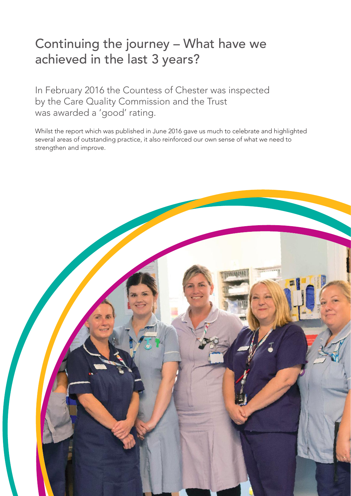# Continuing the journey – What have we achieved in the last 3 years?

In February 2016 the Countess of Chester was inspected by the Care Quality Commission and the Trust was awarded a 'good' rating.

Whilst the report which was published in June 2016 gave us much to celebrate and highlighted several areas of outstanding practice, it also reinforced our own sense of what we need to strengthen and improve.

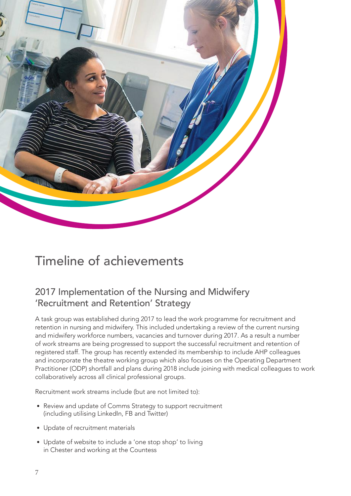

# Timeline of achievements

## 2017 Implementation of the Nursing and Midwifery 'Recruitment and Retention' Strategy

A task group was established during 2017 to lead the work programme for recruitment and retention in nursing and midwifery. This included undertaking a review of the current nursing and midwifery workforce numbers, vacancies and turnover during 2017. As a result a number of work streams are being progressed to support the successful recruitment and retention of registered staff. The group has recently extended its membership to include AHP colleagues and incorporate the theatre working group which also focuses on the Operating Department Practitioner (ODP) shortfall and plans during 2018 include joining with medical colleagues to work collaboratively across all clinical professional groups.

Recruitment work streams include (but are not limited to):

- Review and update of Comms Strategy to support recruitment (including utilising LinkedIn, FB and Twitter)
- Update of recruitment materials
- Update of website to include a 'one stop shop' to living in Chester and working at the Countess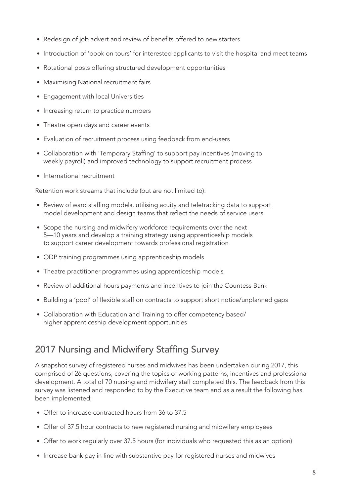- Redesign of job advert and review of benefits offered to new starters
- Introduction of 'book on tours' for interested applicants to visit the hospital and meet teams
- Rotational posts offering structured development opportunities
- Maximising National recruitment fairs
- Engagement with local Universities
- Increasing return to practice numbers
- Theatre open days and career events
- Evaluation of recruitment process using feedback from end-users
- Collaboration with 'Temporary Staffing' to support pay incentives (moving to weekly payroll) and improved technology to support recruitment process
- International recruitment

Retention work streams that include (but are not limited to):

- Review of ward staffing models, utilising acuity and teletracking data to support model development and design teams that reflect the needs of service users
- Scope the nursing and midwifery workforce requirements over the next 5—10 years and develop a training strategy using apprenticeship models to support career development towards professional registration
- ODP training programmes using apprenticeship models
- Theatre practitioner programmes using apprenticeship models
- Review of additional hours payments and incentives to join the Countess Bank
- Building a 'pool' of flexible staff on contracts to support short notice/unplanned gaps
- Collaboration with Education and Training to offer competency based/ higher apprenticeship development opportunities

## 2017 Nursing and Midwifery Staffing Survey

A snapshot survey of registered nurses and midwives has been undertaken during 2017, this comprised of 26 questions, covering the topics of working patterns, incentives and professional development. A total of 70 nursing and midwifery staff completed this. The feedback from this survey was listened and responded to by the Executive team and as a result the following has been implemented;

- Offer to increase contracted hours from 36 to 37.5
- Offer of 37.5 hour contracts to new registered nursing and midwifery employees
- Offer to work regularly over 37.5 hours (for individuals who requested this as an option)
- Increase bank pay in line with substantive pay for registered nurses and midwives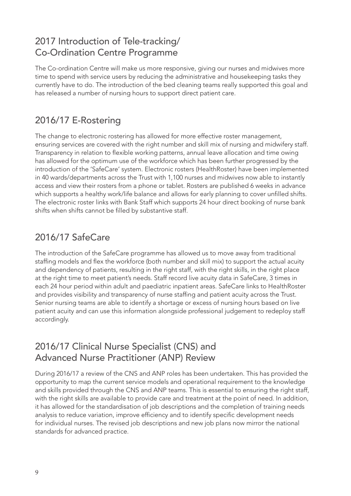#### 2017 Introduction of Tele-tracking/ Co-Ordination Centre Programme

The Co-ordination Centre will make us more responsive, giving our nurses and midwives more time to spend with service users by reducing the administrative and housekeeping tasks they currently have to do. The introduction of the bed cleaning teams really supported this goal and has released a number of nursing hours to support direct patient care.

## 2016/17 E-Rostering

The change to electronic rostering has allowed for more effective roster management, ensuring services are covered with the right number and skill mix of nursing and midwifery staff. Transparency in relation to flexible working patterns, annual leave allocation and time owing has allowed for the optimum use of the workforce which has been further progressed by the introduction of the 'SafeCare' system. Electronic rosters (HealthRoster) have been implemented in 40 wards/departments across the Trust with 1,100 nurses and midwives now able to instantly access and view their rosters from a phone or tablet. Rosters are published 6 weeks in advance which supports a healthy work/life balance and allows for early planning to cover unfilled shifts. The electronic roster links with Bank Staff which supports 24 hour direct booking of nurse bank shifts when shifts cannot be filled by substantive staff.

## 2016/17 SafeCare

The introduction of the SafeCare programme has allowed us to move away from traditional staffing models and flex the workforce (both number and skill mix) to support the actual acuity and dependency of patients, resulting in the right staff, with the right skills, in the right place at the right time to meet patient's needs. Staff record live acuity data in SafeCare, 3 times in each 24 hour period within adult and paediatric inpatient areas. SafeCare links to HealthRoster and provides visibility and transparency of nurse staffing and patient acuity across the Trust. Senior nursing teams are able to identify a shortage or excess of nursing hours based on live patient acuity and can use this information alongside professional judgement to redeploy staff accordingly.

## 2016/17 Clinical Nurse Specialist (CNS) and Advanced Nurse Practitioner (ANP) Review

During 2016/17 a review of the CNS and ANP roles has been undertaken. This has provided the opportunity to map the current service models and operational requirement to the knowledge and skills provided through the CNS and ANP teams. This is essential to ensuring the right staff, with the right skills are available to provide care and treatment at the point of need. In addition, it has allowed for the standardisation of job descriptions and the completion of training needs analysis to reduce variation, improve efficiency and to identify specific development needs for individual nurses. The revised job descriptions and new job plans now mirror the national standards for advanced practice.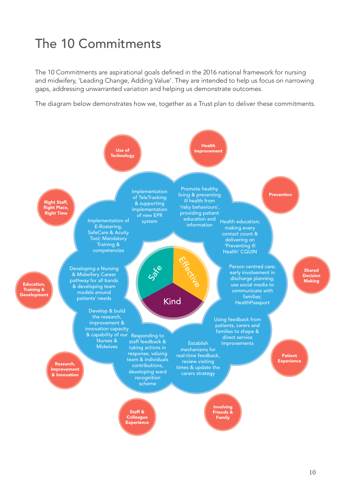# The 10 Commitments

The 10 Commitments are aspirational goals defined in the 2016 national framework for nursing and midwifery, 'Leading Change, Adding Value'. They are intended to help us focus on narrowing gaps, addressing unwarranted variation and helping us demonstrate outcomes.

The diagram below demonstrates how we, together as a Trust plan to deliver these commitments.

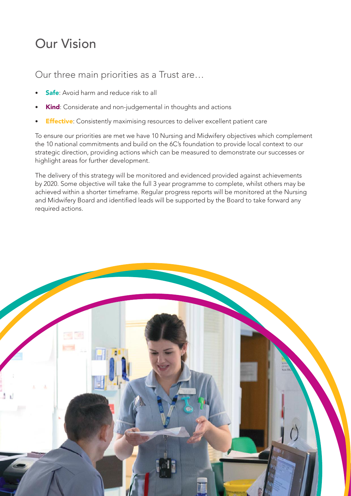# Our Vision

Our three main priorities as a Trust are…

- **Safe:** Avoid harm and reduce risk to all
- Kind: Considerate and non-judgemental in thoughts and actions
- **Effective**: Consistently maximising resources to deliver excellent patient care

To ensure our priorities are met we have 10 Nursing and Midwifery objectives which complement the 10 national commitments and build on the 6C's foundation to provide local context to our strategic direction, providing actions which can be measured to demonstrate our successes or highlight areas for further development.

The delivery of this strategy will be monitored and evidenced provided against achievements by 2020. Some objective will take the full 3 year programme to complete, whilst others may be achieved within a shorter timeframe. Regular progress reports will be monitored at the Nursing and Midwifery Board and identified leads will be supported by the Board to take forward any required actions.

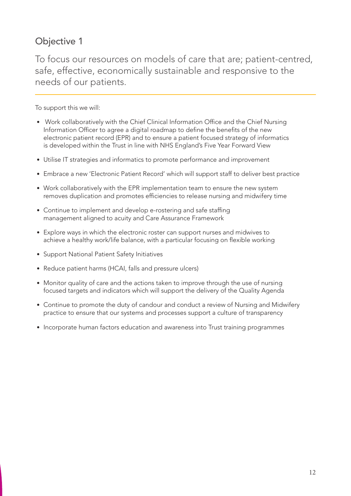To focus our resources on models of care that are; patient-centred, safe, effective, economically sustainable and responsive to the needs of our patients.

- Work collaboratively with the Chief Clinical Information Office and the Chief Nursing Information Officer to agree a digital roadmap to define the benefits of the new electronic patient record (EPR) and to ensure a patient focused strategy of informatics is developed within the Trust in line with NHS England's Five Year Forward View
- Utilise IT strategies and informatics to promote performance and improvement
- Embrace a new 'Electronic Patient Record' which will support staff to deliver best practice
- Work collaboratively with the EPR implementation team to ensure the new system removes duplication and promotes efficiencies to release nursing and midwifery time
- Continue to implement and develop e-rostering and safe staffing management aligned to acuity and Care Assurance Framework
- Explore ways in which the electronic roster can support nurses and midwives to achieve a healthy work/life balance, with a particular focusing on flexible working
- Support National Patient Safety Initiatives
- Reduce patient harms (HCAI, falls and pressure ulcers)
- Monitor quality of care and the actions taken to improve through the use of nursing focused targets and indicators which will support the delivery of the Quality Agenda
- Continue to promote the duty of candour and conduct a review of Nursing and Midwifery practice to ensure that our systems and processes support a culture of transparency
- Incorporate human factors education and awareness into Trust training programmes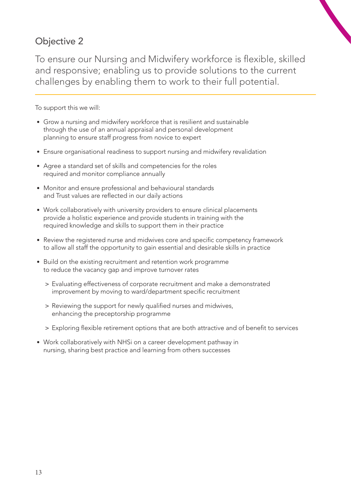To ensure our Nursing and Midwifery workforce is flexible, skilled and responsive; enabling us to provide solutions to the current challenges by enabling them to work to their full potential.

- Grow a nursing and midwifery workforce that is resilient and sustainable through the use of an annual appraisal and personal development planning to ensure staff progress from novice to expert
- Ensure organisational readiness to support nursing and midwifery revalidation
- Agree a standard set of skills and competencies for the roles required and monitor compliance annually
- Monitor and ensure professional and behavioural standards and Trust values are reflected in our daily actions
- Work collaboratively with university providers to ensure clinical placements provide a holistic experience and provide students in training with the required knowledge and skills to support them in their practice
- Review the registered nurse and midwives core and specific competency framework to allow all staff the opportunity to gain essential and desirable skills in practice
- Build on the existing recruitment and retention work programme to reduce the vacancy gap and improve turnover rates
	- > Evaluating effectiveness of corporate recruitment and make a demonstrated improvement by moving to ward/department specific recruitment
	- > Reviewing the support for newly qualified nurses and midwives, enhancing the preceptorship programme
	- > Exploring flexible retirement options that are both attractive and of benefit to services
- Work collaboratively with NHSi on a career development pathway in nursing, sharing best practice and learning from others successes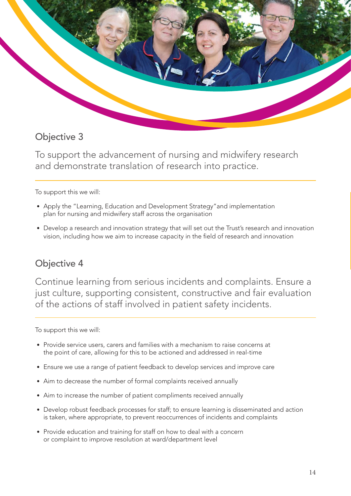

To support the advancement of nursing and midwifery research and demonstrate translation of research into practice.

To support this we will:

- Apply the "Learning, Education and Development Strategy"and implementation plan for nursing and midwifery staff across the organisation
- Develop a research and innovation strategy that will set out the Trust's research and innovation vision, including how we aim to increase capacity in the field of research and innovation

#### Objective 4

Continue learning from serious incidents and complaints. Ensure a just culture, supporting consistent, constructive and fair evaluation of the actions of staff involved in patient safety incidents.

- Provide service users, carers and families with a mechanism to raise concerns at the point of care, allowing for this to be actioned and addressed in real-time
- Ensure we use a range of patient feedback to develop services and improve care
- Aim to decrease the number of formal complaints received annually
- Aim to increase the number of patient compliments received annually
- Develop robust feedback processes for staff; to ensure learning is disseminated and action is taken, where appropriate, to prevent reoccurrences of incidents and complaints
- Provide education and training for staff on how to deal with a concern or complaint to improve resolution at ward/department level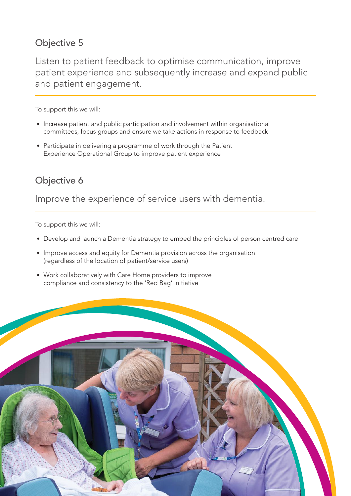Listen to patient feedback to optimise communication, improve patient experience and subsequently increase and expand public and patient engagement.

To support this we will:

- Increase patient and public participation and involvement within organisational committees, focus groups and ensure we take actions in response to feedback
- Participate in delivering a programme of work through the Patient Experience Operational Group to improve patient experience

### Objective 6

Improve the experience of service users with dementia.

- Develop and launch a Dementia strategy to embed the principles of person centred care
- Improve access and equity for Dementia provision across the organisation (regardless of the location of patient/service users)
- Work collaboratively with Care Home providers to improve compliance and consistency to the 'Red Bag' initiative

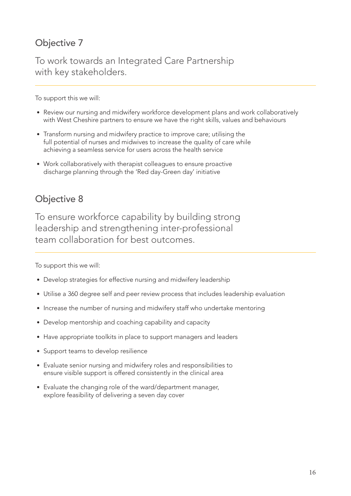To work towards an Integrated Care Partnership with key stakeholders.

To support this we will:

- Review our nursing and midwifery workforce development plans and work collaboratively with West Cheshire partners to ensure we have the right skills, values and behaviours
- Transform nursing and midwifery practice to improve care; utilising the full potential of nurses and midwives to increase the quality of care while achieving a seamless service for users across the health service
- Work collaboratively with therapist colleagues to ensure proactive discharge planning through the 'Red day-Green day' initiative

#### Objective 8

To ensure workforce capability by building strong leadership and strengthening inter-professional team collaboration for best outcomes.

- Develop strategies for effective nursing and midwifery leadership
- Utilise a 360 degree self and peer review process that includes leadership evaluation
- Increase the number of nursing and midwifery staff who undertake mentoring
- Develop mentorship and coaching capability and capacity
- Have appropriate toolkits in place to support managers and leaders
- Support teams to develop resilience
- Evaluate senior nursing and midwifery roles and responsibilities to ensure visible support is offered consistently in the clinical area
- Evaluate the changing role of the ward/department manager, explore feasibility of delivering a seven day cover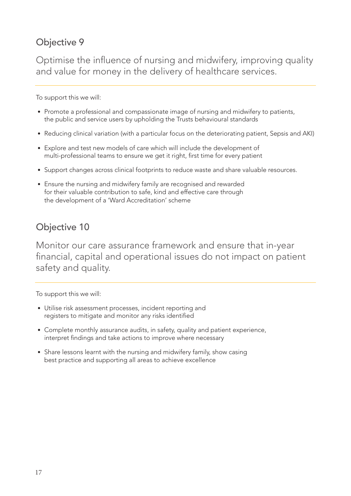Optimise the influence of nursing and midwifery, improving quality and value for money in the delivery of healthcare services.

To support this we will:

- Promote a professional and compassionate image of nursing and midwifery to patients, the public and service users by upholding the Trusts behavioural standards
- Reducing clinical variation (with a particular focus on the deteriorating patient, Sepsis and AKI)
- Explore and test new models of care which will include the development of multi-professional teams to ensure we get it right, first time for every patient
- Support changes across clinical footprints to reduce waste and share valuable resources.
- Ensure the nursing and midwifery family are recognised and rewarded for their valuable contribution to safe, kind and effective care through the development of a 'Ward Accreditation' scheme

## Objective 10

Monitor our care assurance framework and ensure that in-year financial, capital and operational issues do not impact on patient safety and quality.

- Utilise risk assessment processes, incident reporting and registers to mitigate and monitor any risks identified
- Complete monthly assurance audits, in safety, quality and patient experience, interpret findings and take actions to improve where necessary
- Share lessons learnt with the nursing and midwifery family, show casing best practice and supporting all areas to achieve excellence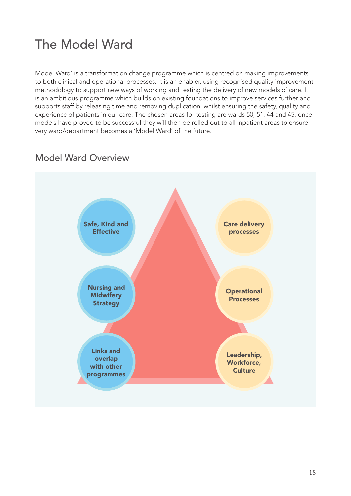# The Model Ward

Model Ward' is a transformation change programme which is centred on making improvements to both clinical and operational processes. It is an enabler, using recognised quality improvement methodology to support new ways of working and testing the delivery of new models of care. It is an ambitious programme which builds on existing foundations to improve services further and supports staff by releasing time and removing duplication, whilst ensuring the safety, quality and experience of patients in our care. The chosen areas for testing are wards 50, 51, 44 and 45, once models have proved to be successful they will then be rolled out to all inpatient areas to ensure very ward/department becomes a 'Model Ward' of the future.



### Model Ward Overview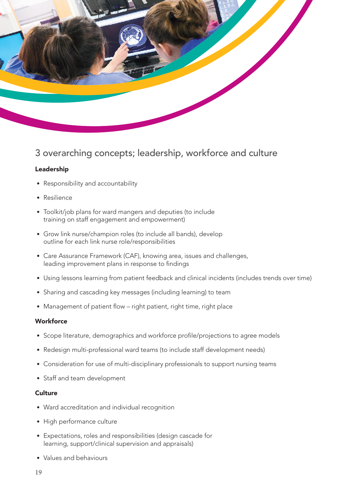

#### 3 overarching concepts; leadership, workforce and culture

#### Leadership

- Responsibility and accountability
- Resilience
- Toolkit/job plans for ward mangers and deputies (to include training on staff engagement and empowerment)
- Grow link nurse/champion roles (to include all bands), develop outline for each link nurse role/responsibilities
- Care Assurance Framework (CAF), knowing area, issues and challenges, leading improvement plans in response to findings
- Using lessons learning from patient feedback and clinical incidents (includes trends over time)
- Sharing and cascading key messages (including learning) to team
- Management of patient flow right patient, right time, right place

#### **Workforce**

- Scope literature, demographics and workforce profile/projections to agree models
- Redesign multi-professional ward teams (to include staff development needs)
- Consideration for use of multi-disciplinary professionals to support nursing teams
- Staff and team development

#### **Culture**

- Ward accreditation and individual recognition
- High performance culture
- Expectations, roles and responsibilities (design cascade for learning, support/clinical supervision and appraisals)
- Values and behaviours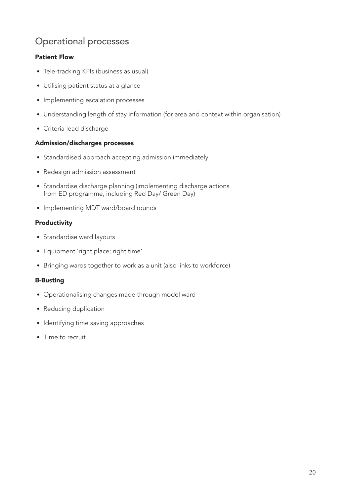## Operational processes

#### Patient Flow

- Tele-tracking KPIs (business as usual)
- Utilising patient status at a glance
- Implementing escalation processes
- Understanding length of stay information (for area and context within organisation)
- Criteria lead discharge

#### Admission/discharges processes

- Standardised approach accepting admission immediately
- Redesign admission assessment
- Standardise discharge planning (implementing discharge actions from ED programme, including Red Day/ Green Day)
- Implementing MDT ward/board rounds

#### Productivity

- Standardise ward layouts
- Equipment 'right place; right time'
- Bringing wards together to work as a unit (also links to workforce)

#### B-Busting

- Operationalising changes made through model ward
- Reducing duplication
- Identifying time saving approaches
- Time to recruit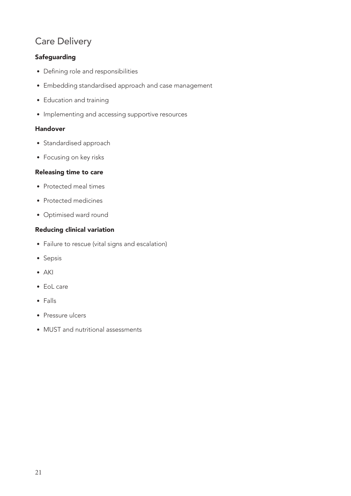#### Care Delivery

#### **Safeguarding**

- Defining role and responsibilities
- Embedding standardised approach and case management
- Education and training
- Implementing and accessing supportive resources

#### Handover

- Standardised approach
- Focusing on key risks

#### Releasing time to care

- Protected meal times
- Protected medicines
- Optimised ward round

#### Reducing clinical variation

- Failure to rescue (vital signs and escalation)
- Sepsis
- AKI
- EoL care
- Falls
- Pressure ulcers
- MUST and nutritional assessments